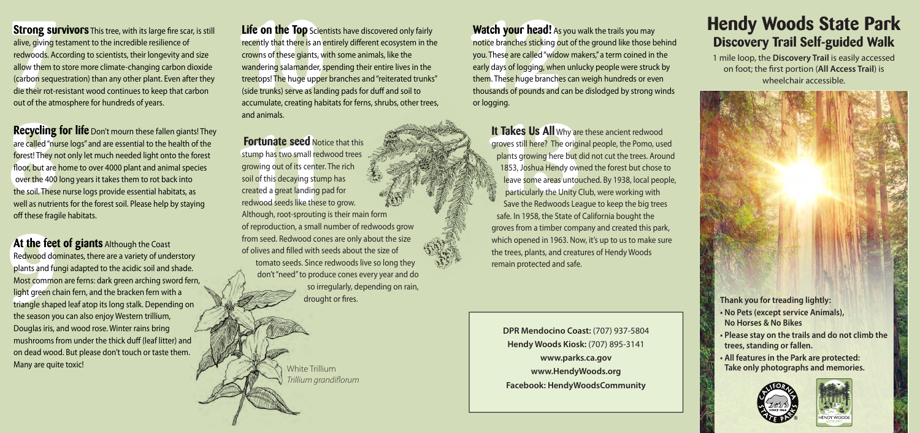**7 10 Strong survivors** This tree, with its large fire scar, is still alive, giving testament to the incredible resilience of redwoods. According to scientists, their longevity and size allow them to store more climate-changing carbon dioxide (carbon sequestration) than any other plant. Even after they die their rot-resistant wood continues to keep that carbon out of the atmosphere for hundreds of years.

**Recycling**<br>are called "nu<br>forest! They n<br>floor, but are<br>over the 400<br>the soil. These<br>well as nutrie **Recycling for life** Don't mourn these fallen giants! They are called "nurse logs" and are essential to the health of the forest! They not only let much needed light onto the forest floor, but are home to over 4000 plant and animal species over the 400 long years it takes them to rot back into the soil. These nurse logs provide essential habitats, as well as nutrients for the forest soil. Please help by staying off these fragile habitats.

At the feet<br>Redwood dor<br>plants and full<br>Most commo<br>light green ch<br>triangle shape<br>the season yo **At the feet of giants** Although the Coast Redwood dominates, there are a variety of understory plants and fungi adapted to the acidic soil and shade. Most common are ferns: dark green arching sword fern, light green chain fern, and the bracken fern with a triangle shaped leaf atop its long stalk. Depending on the season you can also enjoy Western trillium, Douglas iris, and wood rose. Winter rains bring mushrooms from under the thick duff (leaf litter) and on dead wood. But please don't touch or taste them. Many are quite toxic!

**Life on the Top** Scientists have discovered only fairly recently that there is an entirely different ecosystem in the crowns of these giants, with some animals, like the wandering salamander, spending their entire lives in the treetops! The huge upper branches and "reiterated trunks" (side trunks) serve as landing pads for duff and soil to accumulate, creating habitats for ferns, shrubs, other trees, and animals.

**10 seed** Notice that the seed Notice that the straight<br>
1 **1** two small redwood tre<br>
1 **1** decaying stump has<br>
1 great landing pad for<br>
1 reeds like these to grow<br>
1 root-sprouting is their **Fortunate**<br>stump has two<br>growing out o<br>soil of this dec<br>created a grea<br>redwood seed<br>Although, roo **Fortunate seed Notice that this** stump has two small redwood trees growing out of its center. The rich soil of this decaying stump has created a great landing pad for redwood seeds like these to grow. Although, root-sprouting is their main form of reproduction, a small number of redwoods grow from seed. Redwood cones are only about the size of olives and flled with seeds about the size of tomato seeds. Since redwoods live so long they don't "need" to produce cones every year and do so irregularly, depending on rain, drought or fres.

**Watch your head!** As you walk the trails you may notice branches sticking out of the ground like those behind you. These are called "widow makers," a term coined in the early days of logging, when unlucky people were struck by them. These huge branches can weigh hundreds or even thousands of pounds and can be dislodged by strong winds or logg ing.

**11 Takes Us All** Why are these groves still here? The original pe plants growing here but did no<br>1853, Joshua Hendy owned the leave some areas untouched.<br>particularly the Unity Club, we save the Redwoods League to **It Takes Us All** Why are these ancient redwood groves still here? The original people, the Pomo, used plants growing here but did not cut the trees. Around 1853, Joshua Hendy owned the forest but chose to leave some areas untouched. By 1938, local people, particularly the Unity Club, were working with Save the Redwoods League to keep the big trees safe. In 1958, the State of California bought the groves from a timber company and created this park, which opened in 1963. Now, it's up to us to make sure the trees, plants, and creatures of Hendy Woods remain protected and safe.

**DPR Mendocino Coast:** (707) 937-5804 **Hendy Woods Kiosk:** (707) 895-3141 **www.parks.ca.gov www.HendyWoods.org Facebook: HendyWoodsCommunity**  White Trillium **Take only photographs and memories. Take only photographs and memories.** 

## **Hendy Woods State Park Discovery Trail Self-guided Walk**

1 mile loop, the **Discovery Trail** is easily accessed on foot; the frst portion (**All Access Trail**) is wheelchair accessible.

## **Thank you for treading lightly:**

- **No Pets (except service Animals), No Horses & No Bikes**
- **Please stay on the trails and do not climb the trees, standing or fallen.**
- **All features in the Park are protected:**





*Trillium grandi˜orum*